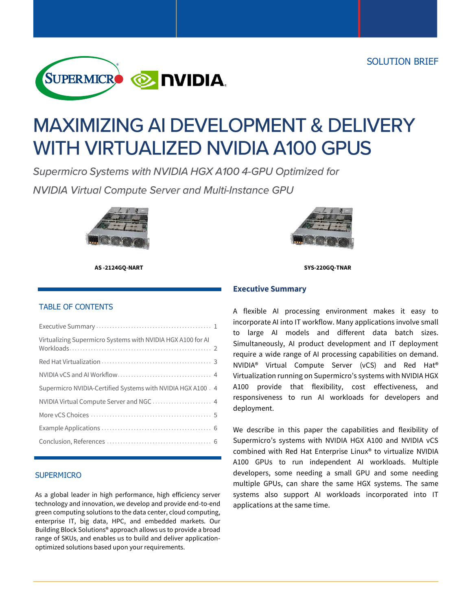

# **MAXIMIZING AI DEVELOPMENT & DELIVERY WITH VIRTUALIZED NVIDIA A100 GPUS**

Supermicro Systems with NVIDIA HGX A100 4-GPU Optimized for

**NVIDIA Virtual Compute Server and Multi-Instance GPU** 





 **AS -2124GQ-NART SYS-220GQ-TNAR**

#### TABLE OF CONTENTS

| Virtualizing Supermicro Systems with NVIDIA HGX A100 for AI  |
|--------------------------------------------------------------|
|                                                              |
|                                                              |
| Supermicro NVIDIA-Certified Systems with NVIDIA HGX A100 . 4 |
|                                                              |
|                                                              |
|                                                              |
|                                                              |

#### **SUPERMICRO**

As a global leader in high performance, high efficiency server technology and innovation, we develop and provide end-to-end green computing solutions to the data center, cloud computing, enterprise IT, big data, HPC, and embedded markets. Our Building Block Solutions® approach allows us to provide a broad range of SKUs, and enables us to build and deliver applicationoptimized solutions based upon your requirements.

#### **Executive Summary**

A flexible AI processing environment makes it easy to incorporate AI into IT workflow. Many applications involve small to large AI models and different data batch sizes. Simultaneously, AI product development and IT deployment require a wide range of AI processing capabilities on demand. NVIDIA® Virtual Compute Server (vCS) and Red Hat® Virtualization running on Supermicro's systems with NVIDIA HGX A100 provide that flexibility, cost effectiveness, and responsiveness to run AI workloads for developers and deployment.

We describe in this paper the capabilities and flexibility of Supermicro's systems with NVIDIA HGX A100 and NVIDIA vCS combined with Red Hat Enterprise Linux® to virtualize NVIDIA A100 GPUs to run independent AI workloads. Multiple developers, some needing a small GPU and some needing multiple GPUs, can share the same HGX systems. The same systems also support AI workloads incorporated into IT applications at the same time.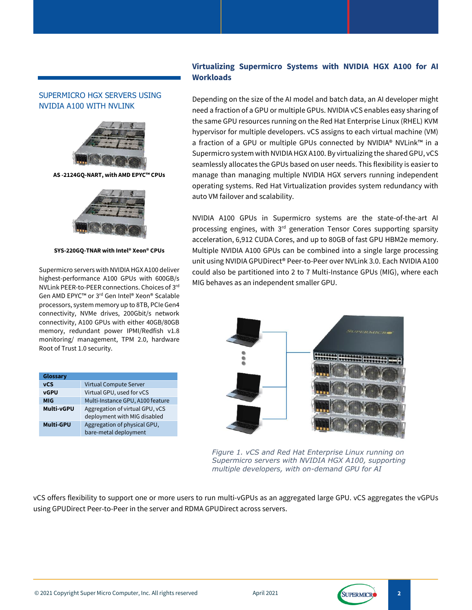## SUPERMICRO HGX SERVERS USING NVIDIA A100 WITH NVLINK



**AS -2124GQ-NART, with AMD EPYC™ CPUs**



**SYS-220GQ-TNAR with Intel® Xeon® CPUs**

Supermicro servers with NVIDIA HGX A100 deliver highest-performance A100 GPUs with 600GB/s NVLink PEER-to-PEER connections. Choices of 3 rd Gen AMD EPYC™ or 3<sup>rd</sup> Gen Intel® Xeon® Scalable processors, system memory up to 8TB, PCIe Gen4 connectivity, NVMe drives, 200Gbit/s network connectivity, A100 GPUs with either 40GB/80GB memory, redundant power IPMI/Redfish v1.8 monitoring/ management, TPM 2.0, hardware Root of Trust 1.0 security.

| Glossary          |                                                                 |  |  |  |  |
|-------------------|-----------------------------------------------------------------|--|--|--|--|
| <b>vCS</b>        | Virtual Compute Server                                          |  |  |  |  |
| <b>vGPU</b>       | Virtual GPU, used for vCS                                       |  |  |  |  |
| <b>MIG</b>        | Multi-Instance GPU, A100 feature                                |  |  |  |  |
| <b>Multi-vGPU</b> | Aggregation of virtual GPU, vCS<br>deployment with MIG disabled |  |  |  |  |
| <b>Multi-GPU</b>  | Aggregation of physical GPU,<br>bare-metal deployment           |  |  |  |  |

## **Virtualizing Supermicro Systems with NVIDIA HGX A100 for AI Workloads**

Depending on the size of the AI model and batch data, an AI developer might need a fraction of a GPU or multiple GPUs. NVIDIA vCS enables easy sharing of the same GPU resources running on the Red Hat Enterprise Linux (RHEL) KVM hypervisor for multiple developers. vCS assigns to each virtual machine (VM) a fraction of a GPU or multiple GPUs connected by NVIDIA® NVLink™ in a Supermicro system with NVIDIA HGX A100. By virtualizing the shared GPU, vCS seamlessly allocates the GPUs based on user needs. This flexibility is easier to manage than managing multiple NVIDIA HGX servers running independent operating systems. Red Hat Virtualization provides system redundancy with auto VM failover and scalability.

NVIDIA A100 GPUs in Supermicro systems are the state-of-the-art AI processing engines, with 3<sup>rd</sup> generation Tensor Cores supporting sparsity acceleration, 6,912 CUDA Cores, and up to 80GB of fast GPU HBM2e memory. Multiple NVIDIA A100 GPUs can be combined into a single large processing unit using NVIDIA GPUDirect® Peer-to-Peer over NVLink 3.0. Each NVIDIA A100 could also be partitioned into 2 to 7 Multi-Instance GPUs (MIG), where each MIG behaves as an independent smaller GPU.



*Figure 1. vCS and Red Hat Enterprise Linux running on Supermicro servers with NVIDIA HGX A100, supporting multiple developers, with on-demand GPU for AI*

vCS offers flexibility to support one or more users to run multi-vGPUs as an aggregated large GPU. vCS aggregates the vGPUs using GPUDirect Peer-to-Peer in the server and RDMA GPUDirect across servers.

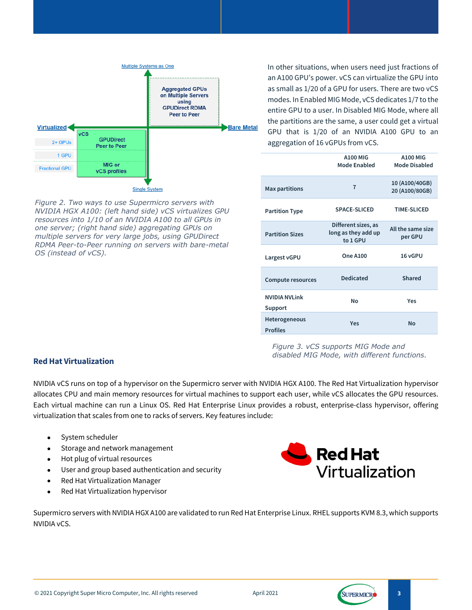

*Figure 2. Two ways to use Supermicro servers with NVIDIA HGX A100: (left hand side) vCS virtualizes GPU resources into 1/10 of an NVIDIA A100 to all GPUs in one server; (right hand side) aggregating GPUs on multiple servers for very large jobs, using GPUDirect RDMA Peer-to-Peer running on servers with bare-metal OS (instead of vCS).*

In other situations, when users need just fractions of an A100 GPU's power. vCS can virtualize the GPU into as small as 1/20 of a GPU for users. There are two vCS modes. In Enabled MIG Mode, vCS dedicates 1/7 to the entire GPU to a user. In Disabled MIG Mode, where all the partitions are the same, a user could get a virtual GPU that is 1/20 of an NVIDIA A100 GPU to an aggregation of 16 vGPUs from vCS.

|                                  | <b>A100 MIG</b><br>Mode Enabled                        | <b>A100 MIG</b><br><b>Mode Disabled</b> |
|----------------------------------|--------------------------------------------------------|-----------------------------------------|
| <b>Max partitions</b>            | 7                                                      | 10 (A100/40GB)<br>20 (A100/80GB)        |
| <b>Partition Type</b>            | <b>SPACE-SLICED</b>                                    | <b>TIME-SLICED</b>                      |
| <b>Partition Sizes</b>           | Different sizes, as<br>long as they add up<br>to 1 GPU | All the same size<br>per GPU            |
| Largest vGPU                     | <b>One A100</b>                                        | 16 vGPU                                 |
| <b>Compute resources</b>         | <b>Dedicated</b>                                       | Shared                                  |
| <b>NVIDIA NVLink</b><br>Support  | Nο                                                     | Yes                                     |
| Heterogeneous<br><b>Profiles</b> | <b>Yes</b>                                             | <b>No</b>                               |

#### *Figure 3. vCS supports MIG Mode and disabled MIG Mode, with different functions.*

#### **Red Hat Virtualization**

NVIDIA vCS runs on top of a hypervisor on the Supermicro server with NVIDIA HGX A100. The Red Hat Virtualization hypervisor allocates CPU and main memory resources for virtual machines to support each user, while vCS allocates the GPU resources. Each virtual machine can run a Linux OS. Red Hat Enterprise Linux provides a robust, enterprise-class hypervisor, offering virtualization that scales from one to racks of servers. Key features include:

- System scheduler
- Storage and network management
- Hot plug of virtual resources
- User and group based authentication and security
- Red Hat Virtualization Manager
- Red Hat Virtualization hypervisor



Supermicro servers with NVIDIA HGX A100 are validated to run Red Hat Enterprise Linux. RHEL supports KVM 8.3, which supports NVIDIA vCS.

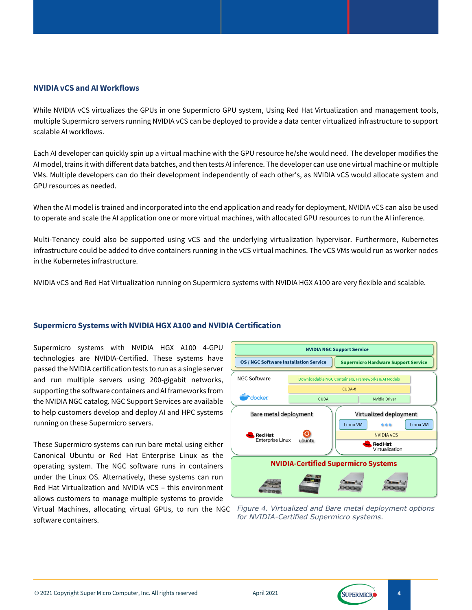#### **NVIDIA vCS and AI Workflows**

While NVIDIA vCS virtualizes the GPUs in one Supermicro GPU system, Using Red Hat Virtualization and management tools, multiple Supermicro servers running NVIDIA vCS can be deployed to provide a data center virtualized infrastructure to support scalable AI workflows.

Each AI developer can quickly spin up a virtual machine with the GPU resource he/she would need. The developer modifies the AI model, trains it with different data batches, and then tests AI inference. The developer can use one virtual machine or multiple VMs. Multiple developers can do their development independently of each other's, as NVIDIA vCS would allocate system and GPU resources as needed.

When the AI model is trained and incorporated into the end application and ready for deployment, NVIDIA vCS can also be used to operate and scale the AI application one or more virtual machines, with allocated GPU resources to run the AI inference.

Multi-Tenancy could also be supported using vCS and the underlying virtualization hypervisor. Furthermore, Kubernetes infrastructure could be added to drive containers running in the vCS virtual machines. The vCS VMs would run as worker nodes in the Kubernetes infrastructure.

NVIDIA vCS and Red Hat Virtualization running on Supermicro systems with NVIDIA HGX A100 are very flexible and scalable.

#### **Supermicro Systems with NVIDIA HGX A100 and NVIDIA Certification**

Supermicro systems with NVIDIA HGX A100 4-GPU technologies are NVIDIA-Certified. These systems have passed the NVIDIA certification tests to run as a single server and run multiple servers using 200-gigabit networks, supporting the software containers and AI frameworks from the NVIDIA NGC catalog. NGC Support Services are available to help customers develop and deploy AI and HPC systems running on these Supermicro servers.

These Supermicro systems can run bare metal using either Canonical Ubuntu or Red Hat Enterprise Linux as the operating system. The NGC software runs in containers under the Linux OS. Alternatively, these systems can run Red Hat Virtualization and NVIDIA vCS – this environment allows customers to manage multiple systems to provide Virtual Machines, allocating virtual GPUs, to run the NGC software containers.



*Figure 4. Virtualized and Bare metal deployment options for NVIDIA-Certified Supermicro systems.*

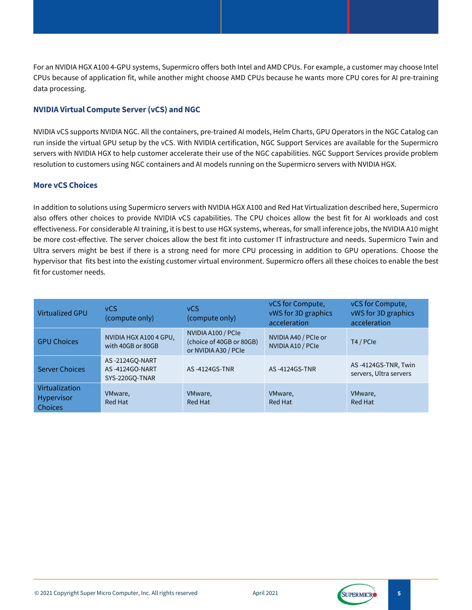For an NVIDIA HGX A100 4-GPU systems, Supermicro offers both Intel and AMD CPUs. For example, a customer may choose Intel CPUs because of application fit, while another might choose AMD CPUs because he wants more CPU cores for AI pre-training data processing.

## **NVIDIA Virtual Compute Server(vCS) and NGC**

NVIDIA vCS supports NVIDIA NGC. All the containers, pre-trained AI models, Helm Charts, GPU Operators in the NGC Catalog can run inside the virtual GPU setup by the vCS. With NVIDIA certification, NGC Support Services are available for the Supermicro servers with NVIDIA HGX to help customer accelerate their use of the NGC capabilities. NGC Support Services provide problem resolution to customers using NGC containers and AI models running on the Supermicro servers with NVIDIA HGX.

#### **More vCS Choices**

In addition to solutions using Supermicro servers with NVIDIA HGX A100 and Red Hat Virtualization described here, Supermicro also offers other choices to provide NVIDIA vCS capabilities. The CPU choices allow the best fit for AI workloads and cost effectiveness. For considerable AI training, it is best to use HGX systems, whereas, for small inference jobs, the NVIDIA A10 might be more cost-effective. The server choices allow the best fit into customer IT infrastructure and needs. Supermicro Twin and Ultra servers might be best if there is a strong need for more CPU processing in addition to GPU operations. Choose the hypervisor that fits best into the existing customer virtual environment. Supermicro offers all these choices to enable the best fit for customer needs.

| <b>Virtualized GPU</b>                         | <b>vCS</b><br>(compute only)                       | <b>vCS</b><br>(compute only)                                           | vCS for Compute,<br>vWS for 3D graphics<br>acceleration | vCS for Compute,<br>vWS for 3D graphics<br>acceleration |
|------------------------------------------------|----------------------------------------------------|------------------------------------------------------------------------|---------------------------------------------------------|---------------------------------------------------------|
| <b>GPU Choices</b>                             | NVIDIA HGX A100 4 GPU,<br>with 40GB or 80GB        | NVIDIA A100 / PCIe<br>(choice of 40GB or 80GB)<br>or NVIDIA A30 / PCIe | NVIDIA A40 / PCIe or<br>NVIDIA A10 / PCIe               | T4 / PCIe                                               |
| <b>Server Choices</b>                          | AS-2124GO-NART<br>AS-4124GO-NART<br>SYS-220GO-TNAR | AS-4124GS-TNR                                                          | AS-4124GS-TNR                                           | AS-4124GS-TNR, Twin<br>servers, Ultra servers           |
| Virtualization<br>Hypervisor<br><b>Choices</b> | VMware,<br>Red Hat                                 | VMware,<br>Red Hat                                                     | VMware,<br>Red Hat                                      | VMware,<br>Red Hat                                      |